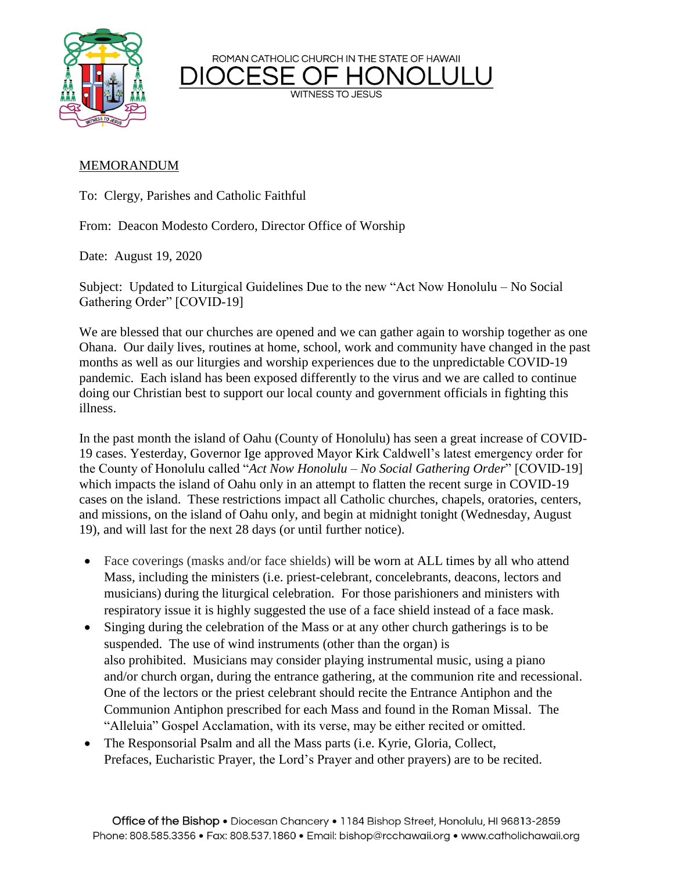

ROMAN CATHOLIC CHURCH IN THE STATE OF HAWAII

**WITNESS TO JESUS** 

## MEMORANDUM

To: Clergy, Parishes and Catholic Faithful

From: Deacon Modesto Cordero, Director Office of Worship

Date: August 19, 2020

Subject: Updated to Liturgical Guidelines Due to the new "Act Now Honolulu – No Social Gathering Order" [COVID-19]

We are blessed that our churches are opened and we can gather again to worship together as one Ohana. Our daily lives, routines at home, school, work and community have changed in the past months as well as our liturgies and worship experiences due to the unpredictable COVID-19 pandemic. Each island has been exposed differently to the virus and we are called to continue doing our Christian best to support our local county and government officials in fighting this illness.

In the past month the island of Oahu (County of Honolulu) has seen a great increase of COVID-19 cases. Yesterday, Governor Ige approved Mayor Kirk Caldwell's latest emergency order for the County of Honolulu called "*Act Now Honolulu – No Social Gathering Order*" [COVID-19] which impacts the island of Oahu only in an attempt to flatten the recent surge in COVID-19 cases on the island. These restrictions impact all Catholic churches, chapels, oratories, centers, and missions, on the island of Oahu only, and begin at midnight tonight (Wednesday, August 19), and will last for the next 28 days (or until further notice).

- Face coverings (masks and/or face shields) will be worn at ALL times by all who attend Mass, including the ministers (i.e. priest-celebrant, concelebrants, deacons, lectors and musicians) during the liturgical celebration. For those parishioners and ministers with respiratory issue it is highly suggested the use of a face shield instead of a face mask.
- Singing during the celebration of the Mass or at any other church gatherings is to be suspended. The use of wind instruments (other than the organ) is also prohibited. Musicians may consider playing instrumental music, using a piano and/or church organ, during the entrance gathering, at the communion rite and recessional. One of the lectors or the priest celebrant should recite the Entrance Antiphon and the Communion Antiphon prescribed for each Mass and found in the Roman Missal. The "Alleluia" Gospel Acclamation, with its verse, may be either recited or omitted.
- The Responsorial Psalm and all the Mass parts (i.e. Kyrie, Gloria, Collect, Prefaces, Eucharistic Prayer, the Lord's Prayer and other prayers) are to be recited.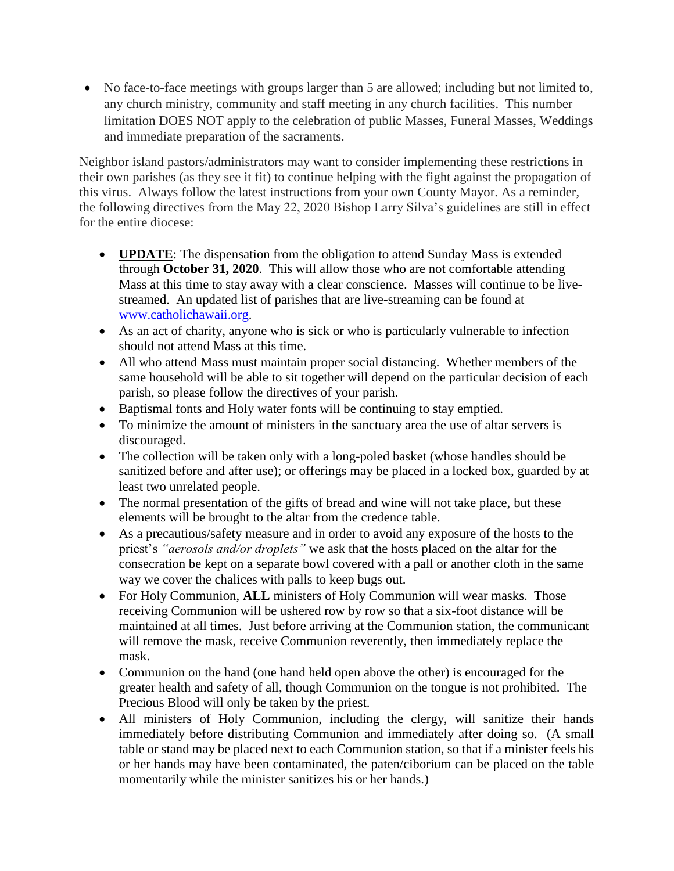• No face-to-face meetings with groups larger than 5 are allowed; including but not limited to, any church ministry, community and staff meeting in any church facilities. This number limitation DOES NOT apply to the celebration of public Masses, Funeral Masses, Weddings and immediate preparation of the sacraments.

Neighbor island pastors/administrators may want to consider implementing these restrictions in their own parishes (as they see it fit) to continue helping with the fight against the propagation of this virus. Always follow the latest instructions from your own County Mayor. As a reminder, the following directives from the May 22, 2020 Bishop Larry Silva's guidelines are still in effect for the entire diocese:

- **UPDATE**: The dispensation from the obligation to attend Sunday Mass is extended through **October 31, 2020**. This will allow those who are not comfortable attending Mass at this time to stay away with a clear conscience. Masses will continue to be livestreamed. An updated list of parishes that are live-streaming can be found at [www.catholichawaii.org.](http://www.catholichawaii.org/)
- As an act of charity, anyone who is sick or who is particularly vulnerable to infection should not attend Mass at this time.
- All who attend Mass must maintain proper social distancing. Whether members of the same household will be able to sit together will depend on the particular decision of each parish, so please follow the directives of your parish.
- Baptismal fonts and Holy water fonts will be continuing to stay emptied.
- To minimize the amount of ministers in the sanctuary area the use of altar servers is discouraged.
- The collection will be taken only with a long-poled basket (whose handles should be sanitized before and after use); or offerings may be placed in a locked box, guarded by at least two unrelated people.
- The normal presentation of the gifts of bread and wine will not take place, but these elements will be brought to the altar from the credence table.
- As a precautious/safety measure and in order to avoid any exposure of the hosts to the priest's *"aerosols and/or droplets"* we ask that the hosts placed on the altar for the consecration be kept on a separate bowl covered with a pall or another cloth in the same way we cover the chalices with palls to keep bugs out.
- For Holy Communion, **ALL** ministers of Holy Communion will wear masks. Those receiving Communion will be ushered row by row so that a six-foot distance will be maintained at all times. Just before arriving at the Communion station, the communicant will remove the mask, receive Communion reverently, then immediately replace the mask.
- Communion on the hand (one hand held open above the other) is encouraged for the greater health and safety of all, though Communion on the tongue is not prohibited. The Precious Blood will only be taken by the priest.
- All ministers of Holy Communion, including the clergy, will sanitize their hands immediately before distributing Communion and immediately after doing so. (A small table or stand may be placed next to each Communion station, so that if a minister feels his or her hands may have been contaminated, the paten/ciborium can be placed on the table momentarily while the minister sanitizes his or her hands.)